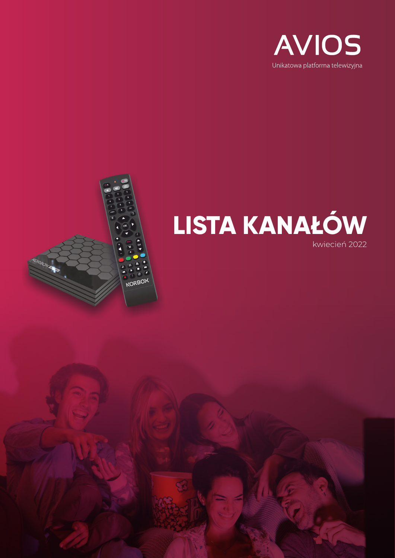



## **LISTA KANAŁÓW** kwiecień 2022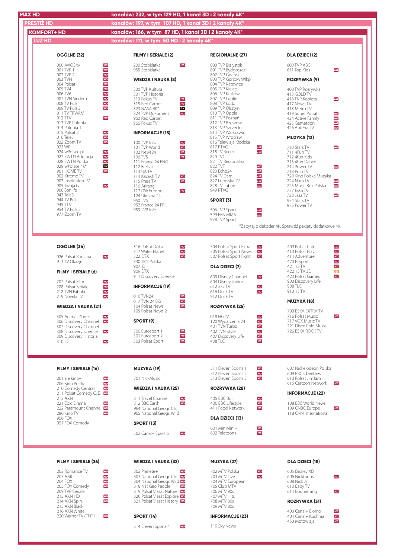| <b>MAX HD</b>                                            |                      | kanałów: 232, w tym 129 HD, 1 kanał 3D i 2 kanały 4K*               |                                                                   |                                                      |
|----------------------------------------------------------|----------------------|---------------------------------------------------------------------|-------------------------------------------------------------------|------------------------------------------------------|
| <b>PRESTIŻ HD</b>                                        |                      | kanałów: 197, w tym 107 HD, 1 kanał 3D i 2 kanały 4K*               |                                                                   |                                                      |
| <b>KOMFORT+ HD</b>                                       |                      | kanałów: 166, w tym 87 HD, 1 kanał 3D i 2 kanały 4K*                |                                                                   |                                                      |
| <b>LUZ HD</b>                                            |                      | kanałów: 111, w tym 50 HD i 2 kanały 4K*                            |                                                                   |                                                      |
|                                                          |                      |                                                                     |                                                                   |                                                      |
| OGÓLNE (32)                                              |                      | <b>FILMY I SERIALE (2)</b>                                          | <b>REGIONALNE (27)</b>                                            | <b>DLA DZIECI (2)</b>                                |
| 000 AVIOS.tv<br>001 TVP 1                                |                      | 200 Stopklatka<br>HD<br>955 Stopklatka                              | 800 TVP Białystok<br>801 TVP Bydgoszcz                            | 600 TVP ABC<br>611 Top Kids<br>HD                    |
| 002 TVP 2<br>003 TVN                                     |                      | <b>WIEDZA I NAUKA (8)</b>                                           | 802 TVP Gdańsk<br>803 TVP Gorzów Wlkp.                            | <b>ROZRYWKA (9)</b>                                  |
| 004 Polsat                                               |                      |                                                                     | 804 TVP Katowice                                                  |                                                      |
| 005 TV4<br>006 TV6                                       |                      | 300 TVP Kultura<br>301 TVP Historia                                 | 805 TVP Kielce<br>806 TVP Kraków                                  | 400 TVP Rozrywka<br>413 GOLD TV                      |
| 007 TVN Siedem<br>008 TV Puls                            | HD<br>HD             | 313 Fokus TV<br>HD<br>$\frac{HD}{4K}$<br>315 Red Carpet             | 807 TVP Lublin<br>808 TVP Łódź                                    | 416 TVP Kobieta<br>HD<br>417 Nowa TV                 |
| 009 TV Puls 2<br>011 TV TRWAM                            |                      | 323 NASA 4K*<br>HD<br>324 TVP Dokument                              | 809 TVP Olsztyn<br>810 TVP Opole                                  | 418 Metro TV<br>419 Super Polsat<br>HD               |
| 012 TTV<br>013 TVP Polonia                               | HD                   | 960 Red Carpet<br>966 Fokus TV                                      | 811 TVP Poznań<br>812 TVP Rzeszów                                 | HD<br>424 Active Family<br>HD<br>425 Gametoon        |
| 014 Polonia 1<br>015 Polsat 2                            | HD                   | <b>INFORMACJE (15)</b>                                              | 813 TVP Szczecin<br>814 TVP Warszawa                              | HD<br>426 Antena TV                                  |
| 016 Tele5<br>022 Zoom TV                                 | HD<br>HD             | 100 TVP Info                                                        | 815 TVP Wrocław<br>816 Telewizja Kłodzka                          | <b>MUZYKA (13)</b>                                   |
| 023 WP<br>024 wPolsce.pl                                 |                      | HD<br>HD<br>HD<br>101 TVP World<br>102 News24                       | 817 RTVG<br>HD<br>HD<br>818 TV Regio                              | 710 Stars TV<br>HD<br>711 4Fun TV                    |
| 027 EWTN Adoracja                                        | HD<br>HD<br>HD<br>4K | HD<br>106 TVS                                                       | 820 TVC                                                           | 712 4fun Kids                                        |
| 028 EWTN Polska<br>029 wPolsce 4k*                       |                      | 111 France 24 ENG<br>112 Biełsat                                    | 821 TV Regionalna<br>822 TVT                                      | 713 4fun Dance<br>714 Power TV<br>HD                 |
| 901 HOME TV<br>902 Xtreme TV                             | HD                   | 113 UA TV<br>114 Kazakh TV<br>HD                                    | HD<br>HD<br>HD<br>823 Echo24<br>824 TV Dami                       | 718 Polo TV<br>720 Kino Polska Muzyka                |
| 903 Inspiration TV<br>905 Twoja.tv                       | HD                   | HD<br>115 Press TV<br>116 Arirang                                   | HD<br>HD<br>827 Lubelska TV<br>828 TV Lubań                       | 724 Nuta TV<br>HD<br>HD<br>725 Music Box Polska      |
| 906 Sonlife<br>943 Tele5                                 |                      | 117 DW Europe<br>HD<br>124 Ukraina 24                               | 949 RTVG                                                          | 727 Eska TV<br>728 Jazz TV<br>HD                     |
| 944 TV Puls<br>945 TTV                                   |                      | 950 TVS<br>952 France 24 FR                                         | SPORT (3)                                                         | 974 Stars TV<br>975 Power TV                         |
| 954 TV Puls 2<br>977 Zoom TV                             |                      | 953 TVP Info                                                        | 506 TVP Sport<br>HD<br>HD<br>599 FEN MMA                          |                                                      |
|                                                          |                      |                                                                     | 978 TVP Sport                                                     |                                                      |
|                                                          |                      |                                                                     |                                                                   | *Zapytaj o dekoder 4K. Sprawdź pakiety dodatkowe 4K. |
|                                                          |                      |                                                                     |                                                                   |                                                      |
| OGÓLNE (34)                                              |                      | 316 Polsat Doku<br>HD<br>HD<br>317 Water Planet                     | 504 Polsat Sport Extra<br>HD<br>HD<br>505 Polsat Sport News       | 409 Polsat Cafe<br>HD<br>HD<br>410 Polsat Play       |
| 026 Polsat Rodzina<br>913 TV Okazje                      | HD                   | HD<br>322 DTX<br>330 TBN Polska                                     | 507 Polsat Sport Fight<br>HD                                      | 414 Adventure<br>HD<br>HD<br>420 E-Sport             |
| FILMY I SERIALE (6)                                      |                      | 907 ID<br>909 DTX                                                   | <b>DLA DZIECI (7)</b>                                             | HD<br>421 13 TV<br>422 13 TV 3D<br>3D                |
|                                                          |                      | 911 Discovery Science                                               | 603 Disney Channel<br>HD                                          | 423 Polsat Games<br>HD<br>900 Discovery Life         |
| 207 Polsat Film<br>208 Polsat Seriale                    | HD<br>HD             | <b>INFORMACJE (19)</b>                                              | 604 Disney Junior<br>612 2x2 TV<br>HD                             | 908 TLC                                              |
| 218 TVN Fabuła<br>219 Novela TV                          | HD<br>HD             | 010 TVN24<br>HD                                                     | HD<br>616 Duck TV<br>912 Duck TV                                  | 910 13 TV                                            |
| <b>WIEDZA I NAUKA (21)</b>                               |                      | 017 TVN 24 BiS<br>HD<br>104 Polsat News<br>HD                       | <b>ROZRYWKA (25)</b>                                              | <b>MUZYKA (18)</b>                                   |
| 305 Animal Planet                                        | HD                   | 105 Polsat News 2                                                   | 018 HGTV                                                          | 700 ESKA EXTRA TV<br>716 Polsat Music<br>HD          |
| 306 Discovery Channel <b>HD</b><br>307 Discovery Channel |                      | SPORT (9)                                                           | 120 Wydarzenia 24<br>401 TVN Turbo                                | 717 VOX Music TV<br>721 Disco Polo Music             |
| 308 Discovery Science<br>309 Discovery Historia          | HD                   | 500 Eurosport 1<br>HD<br>HD<br>501 Eurosport 2                      | HD<br>HD<br>HD<br>HD<br>HD<br>402 TVN Style<br>407 Discovery Life | 726 ESKA ROCK TV                                     |
| 310 ID                                                   | HD                   | HD<br>503 Polsat Sport                                              | HD<br>408 TLC                                                     |                                                      |
|                                                          |                      |                                                                     |                                                                   |                                                      |
| FILMY I SERIALE (16)                                     |                      | <b>MUZYKA (19)</b>                                                  | 511 Eleven Sports 1<br>HD<br>HD                                   | 607 Nickelodeon Polska                               |
| 201 ale kino+                                            | HD                   | 701 NickMusic                                                       | 512 Eleven Sports 2<br>HD<br>513 Eleven Sports 3                  | 609 BBC Cbeebies<br>610 Polsat JimJam                |
| 206 Kino Polska<br>210 Comedy Central                    | HD<br>HD             | <b>WIEDZA I NAUKA (25)</b>                                          | <b>ROZRYWKA (28)</b>                                              | 615 Cartoon Network<br>HD                            |
| 211 Polsat Comedy C. E. HD<br>212 AXN                    |                      | 311 Travel Channel<br>HD                                            | 405 BBC Brit                                                      | <b>INFORMACJE (22)</b>                               |
| 221 Epic Drama<br>222 Paramount Channel HD               | HD                   | HD<br>312 BBC Earth<br>964 National Geogr. Ch.                      | HD<br>HD<br>406 BBC Lifestyle<br>411 Food Network<br>HD           | 108 BBC World News<br>109 CNBC Europe<br>HD          |
| 280 Kino TV<br>956 FOX                                   | HD                   | 965 National Geogr. Wild                                            | <b>DLA DZIECI (13)</b>                                            | 118 CNN International                                |
| 957 FOX Comedy                                           |                      | <b>SPORT (13)</b>                                                   | 601 MiniMini+                                                     |                                                      |
|                                                          |                      | 502 Canal+ Sport 5<br>HD                                            | HD<br>HD<br>602 Teletoon+                                         |                                                      |
|                                                          |                      |                                                                     |                                                                   |                                                      |
| FILMY I SERIALE (26)                                     |                      | <b>WIEDZA I NAUKA (32)</b>                                          | <b>MUZYKA (27)</b>                                                | <b>DLA DZIECI (18)</b>                               |
| 202 Romance TV                                           | HD                   | 302 Planete+                                                        | 702 MTV Polska<br>HD                                              | 605 Disney XD                                        |
| 203 AMC<br>204 FOX                                       | HD<br>HD             | 303 National Geogr. Ch. HD<br>304 National Geogr. Wild HD           | HD<br>703 MTV Live<br>704 MTV European                            | 606 Nicktoons<br>HD<br>608 Nick Jr                   |
| 205 FOX Comedy<br>209 TVP Seriale                        | HD                   | 318 Nat Geo People<br>HD<br>319 Polsat Viasat Nature                | 705 Club MTV<br>706 MTV 90s                                       | 613 Baby TV<br>614 Boomerang<br>HD                   |
| 213 AXN HD<br>214 AXN Spin                               | HD<br>HD             | 320 Polsat Viasat Explore <b>HD</b><br>321 Polsat Viasat History HD | 707 MTV Hits<br>708 MTV 00s                                       | <b>ROZRYWKA (31)</b>                                 |
| 215 AXN Black<br>216 AXN White                           |                      |                                                                     | 709 MTV 80s                                                       | 403 Canal+ Domo<br>HD                                |
| 220 Warner TV (TNT)                                      | HD                   | <b>SPORT (14)</b>                                                   | <b>INFORMACJE (23)</b>                                            | HD<br>404 Canal+ Kuchnia<br>HD<br>450 Motowizja      |
|                                                          |                      | 514 Eleven Sports 4<br>HD                                           | 119 Sky News                                                      |                                                      |